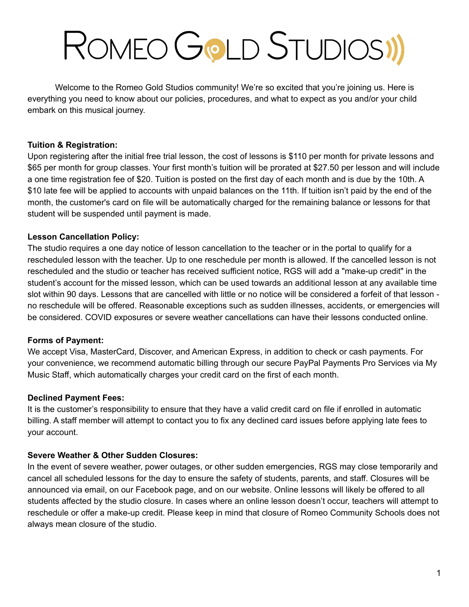# ROMEO GOLD STUDIOSI)

Welcome to the Romeo Gold Studios community! We're so excited that you're joining us. Here is everything you need to know about our policies, procedures, and what to expect as you and/or your child embark on this musical journey.

#### **Tuition & Registration:**

Upon registering after the initial free trial lesson, the cost of lessons is \$110 per month for private lessons and \$65 per month for group classes. Your first month's tuition will be prorated at \$27.50 per lesson and will include a one time registration fee of \$20. Tuition is posted on the first day of each month and is due by the 10th. A \$10 late fee will be applied to accounts with unpaid balances on the 11th. If tuition isn't paid by the end of the month, the customer's card on file will be automatically charged for the remaining balance or lessons for that student will be suspended until payment is made.

### **Lesson Cancellation Policy:**

The studio requires a one day notice of lesson cancellation to the teacher or in the portal to qualify for a rescheduled lesson with the teacher. Up to one reschedule per month is allowed. If the cancelled lesson is not rescheduled and the studio or teacher has received sufficient notice, RGS will add a "make-up credit" in the student's account for the missed lesson, which can be used towards an additional lesson at any available time slot within 90 days. Lessons that are cancelled with little or no notice will be considered a forfeit of that lesson no reschedule will be offered. Reasonable exceptions such as sudden illnesses, accidents, or emergencies will be considered. COVID exposures or severe weather cancellations can have their lessons conducted online.

#### **Forms of Payment:**

We accept Visa, MasterCard, Discover, and American Express, in addition to check or cash payments. For your convenience, we recommend automatic billing through our secure PayPal Payments Pro Services via My Music Staff, which automatically charges your credit card on the first of each month.

#### **Declined Payment Fees:**

It is the customer's responsibility to ensure that they have a valid credit card on file if enrolled in automatic billing. A staff member will attempt to contact you to fix any declined card issues before applying late fees to your account.

#### **Severe Weather & Other Sudden Closures:**

In the event of severe weather, power outages, or other sudden emergencies, RGS may close temporarily and cancel all scheduled lessons for the day to ensure the safety of students, parents, and staff. Closures will be announced via email, on our Facebook page, and on our website. Online lessons will likely be offered to all students affected by the studio closure. In cases where an online lesson doesn't occur, teachers will attempt to reschedule or offer a make-up credit. Please keep in mind that closure of Romeo Community Schools does not always mean closure of the studio.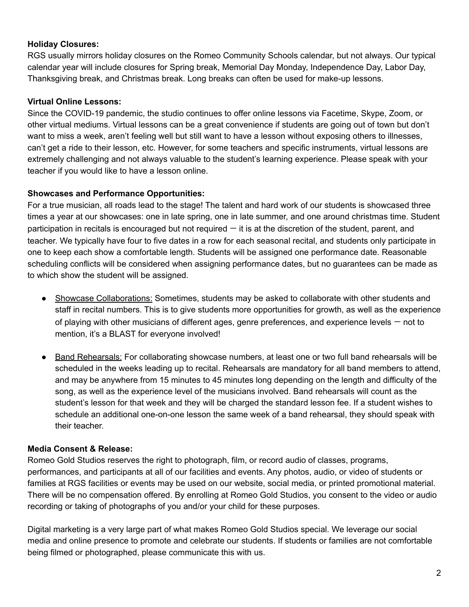#### **Holiday Closures:**

RGS usually mirrors holiday closures on the Romeo Community Schools calendar, but not always. Our typical calendar year will include closures for Spring break, Memorial Day Monday, Independence Day, Labor Day, Thanksgiving break, and Christmas break. Long breaks can often be used for make-up lessons.

#### **Virtual Online Lessons:**

Since the COVID-19 pandemic, the studio continues to offer online lessons via Facetime, Skype, Zoom, or other virtual mediums. Virtual lessons can be a great convenience if students are going out of town but don't want to miss a week, aren't feeling well but still want to have a lesson without exposing others to illnesses, can't get a ride to their lesson, etc. However, for some teachers and specific instruments, virtual lessons are extremely challenging and not always valuable to the student's learning experience. Please speak with your teacher if you would like to have a lesson online.

#### **Showcases and Performance Opportunities:**

For a true musician, all roads lead to the stage! The talent and hard work of our students is showcased three times a year at our showcases: one in late spring, one in late summer, and one around christmas time. Student participation in recitals is encouraged but not required  $-$  it is at the discretion of the student, parent, and teacher. We typically have four to five dates in a row for each seasonal recital, and students only participate in one to keep each show a comfortable length. Students will be assigned one performance date. Reasonable scheduling conflicts will be considered when assigning performance dates, but no guarantees can be made as to which show the student will be assigned.

- Showcase Collaborations: Sometimes, students may be asked to collaborate with other students and staff in recital numbers. This is to give students more opportunities for growth, as well as the experience of playing with other musicians of different ages, genre preferences, and experience levels — not to mention, it's a BLAST for everyone involved!
- Band Rehearsals: For collaborating showcase numbers, at least one or two full band rehearsals will be scheduled in the weeks leading up to recital. Rehearsals are mandatory for all band members to attend, and may be anywhere from 15 minutes to 45 minutes long depending on the length and difficulty of the song, as well as the experience level of the musicians involved. Band rehearsals will count as the student's lesson for that week and they will be charged the standard lesson fee. If a student wishes to schedule an additional one-on-one lesson the same week of a band rehearsal, they should speak with their teacher.

#### **Media Consent & Release:**

Romeo Gold Studios reserves the right to photograph, film, or record audio of classes, programs, performances, and participants at all of our facilities and events. Any photos, audio, or video of students or families at RGS facilities or events may be used on our website, social media, or printed promotional material. There will be no compensation offered. By enrolling at Romeo Gold Studios, you consent to the video or audio recording or taking of photographs of you and/or your child for these purposes.

Digital marketing is a very large part of what makes Romeo Gold Studios special. We leverage our social media and online presence to promote and celebrate our students. If students or families are not comfortable being filmed or photographed, please communicate this with us.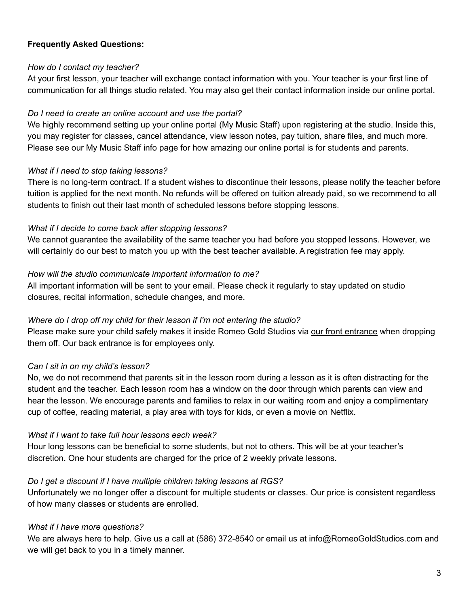#### **Frequently Asked Questions:**

#### *How do I contact my teacher?*

At your first lesson, your teacher will exchange contact information with you. Your teacher is your first line of communication for all things studio related. You may also get their contact information inside our online portal.

#### *Do I need to create an online account and use the portal?*

We highly recommend setting up your online portal (My Music Staff) upon registering at the studio. Inside this, you may register for classes, cancel attendance, view lesson notes, pay tuition, share files, and much more. Please see our My Music Staff info page for how amazing our online portal is for students and parents.

#### *What if I need to stop taking lessons?*

There is no long-term contract. If a student wishes to discontinue their lessons, please notify the teacher before tuition is applied for the next month. No refunds will be offered on tuition already paid, so we recommend to all students to finish out their last month of scheduled lessons before stopping lessons.

#### *What if I decide to come back after stopping lessons?*

We cannot guarantee the availability of the same teacher you had before you stopped lessons. However, we will certainly do our best to match you up with the best teacher available. A registration fee may apply.

#### *How will the studio communicate important information to me?*

All important information will be sent to your email. Please check it regularly to stay updated on studio closures, recital information, schedule changes, and more.

#### *Where do I drop off my child for their lesson if I'm not entering the studio?*

Please make sure your child safely makes it inside Romeo Gold Studios via our front entrance when dropping them off. Our back entrance is for employees only.

#### *Can I sit in on my child's lesson?*

No, we do not recommend that parents sit in the lesson room during a lesson as it is often distracting for the student and the teacher. Each lesson room has a window on the door through which parents can view and hear the lesson. We encourage parents and families to relax in our waiting room and enjoy a complimentary cup of coffee, reading material, a play area with toys for kids, or even a movie on Netflix.

#### *What if I want to take full hour lessons each week?*

Hour long lessons can be beneficial to some students, but not to others. This will be at your teacher's discretion. One hour students are charged for the price of 2 weekly private lessons.

#### *Do I get a discount if I have multiple children taking lessons at RGS?*

Unfortunately we no longer offer a discount for multiple students or classes. Our price is consistent regardless of how many classes or students are enrolled.

#### *What if I have more questions?*

We are always here to help. Give us a call at (586) 372-8540 or email us at info@RomeoGoldStudios.com and we will get back to you in a timely manner.